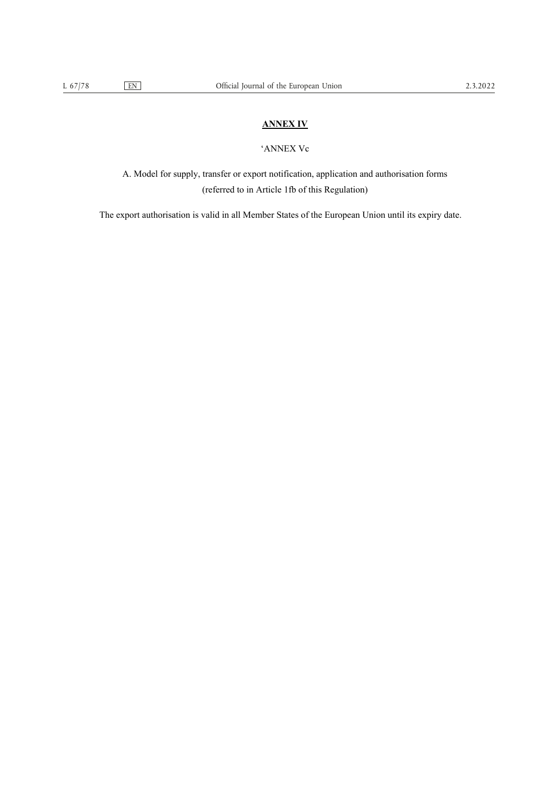## **ANNEX IV**

## 'ANNEX Vc

A. Model for supply, transfer or export notification, application and authorisation forms (referred to in Article 1fb of this Regulation)

The export authorisation is valid in all Member States of the European Union until its expiry date.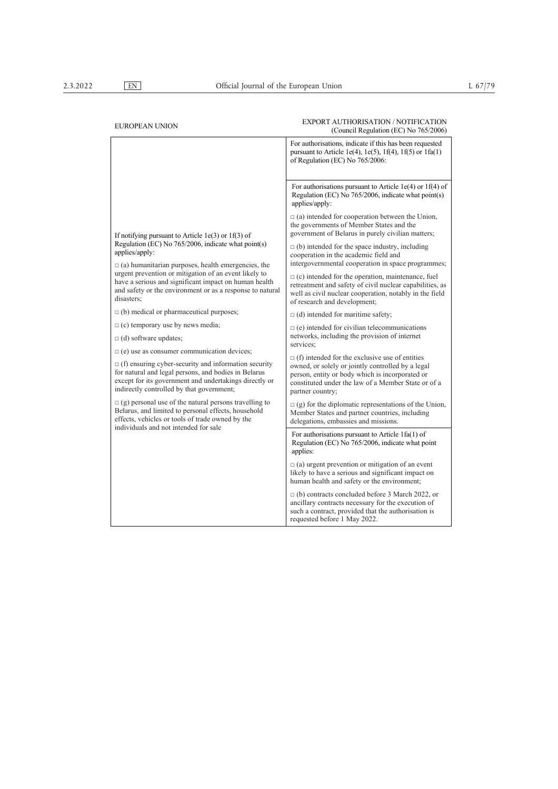## EXPORT AUTHORISATION / NOTIFICATION<br>
EXPORT AUTHORISATION / NOTIFICATION (Council Regulation (EC) No 765/2006) If notifying pursuant to Article 1e(3) or 1f(3) of Regulation (EC) No 765/2006, indicate what point(s) applies/apply:  $\Box$  (a) humanitarian purposes, health emergencies, the urgent prevention or mitigation of an event likely to have a serious and significant impact on human health and safety or the environment or as a response to natural disasters; □ (b) medical or pharmaceutical purposes;  $\Box$  (c) temporary use by news media; □ (d) software updates;  $\Box$  (e) use as consumer communication devices; □ (f) ensuring cyber-security and information security for natural and legal persons, and bodies in Belarus except for its government and undertakings directly or indirectly controlled by that government;  $\Box$  (g) personal use of the natural persons travelling to Belarus, and limited to personal effects, household effects, vehicles or tools of trade owned by the individuals and not intended for sale For authorisations, indicate if this has been requested pursuant to Article 1e(4), 1e(5), 1f(4), 1f(5) or  $1fa(1)$ of Regulation (EC) No 765/2006: For authorisations pursuant to Article 1e(4) or 1f(4) of Regulation (EC) No 765/2006, indicate what point(s) applies/apply:  $\Box$  (a) intended for cooperation between the Union, the governments of Member States and the government of Belarus in purely civilian matters;  $\Box$  (b) intended for the space industry, including cooperation in the academic field and intergovernmental cooperation in space programmes;  $\Box$  (c) intended for the operation, maintenance, fuel retreatment and safety of civil nuclear capabilities, as well as civil nuclear cooperation, notably in the field of research and development;  $\Box$  (d) intended for maritime safety:  $\Box$  (e) intended for civilian telecommunications networks, including the provision of internet services;  $\Box$  (f) intended for the exclusive use of entities owned, or solely or jointly controlled by a legal person, entity or body which is incorporated or constituted under the law of a Member State or of a partner country;  $\square$  (g) for the diplomatic representations of the Union, Member States and partner countries, including delegations, embassies and missions. For authorisations pursuant to Article 1fa(1) of Regulation (EC)  $\overline{No}$  765/2006, indicate what point applies:  $\Box$  (a) urgent prevention or mitigation of an event likely to have a serious and significant impact on human health and safety or the environment; □ (b) contracts concluded before 3 March 2022, or ancillary contracts necessary for the execution of such a contract, provided that the authorisation is requested before 1 May 2022.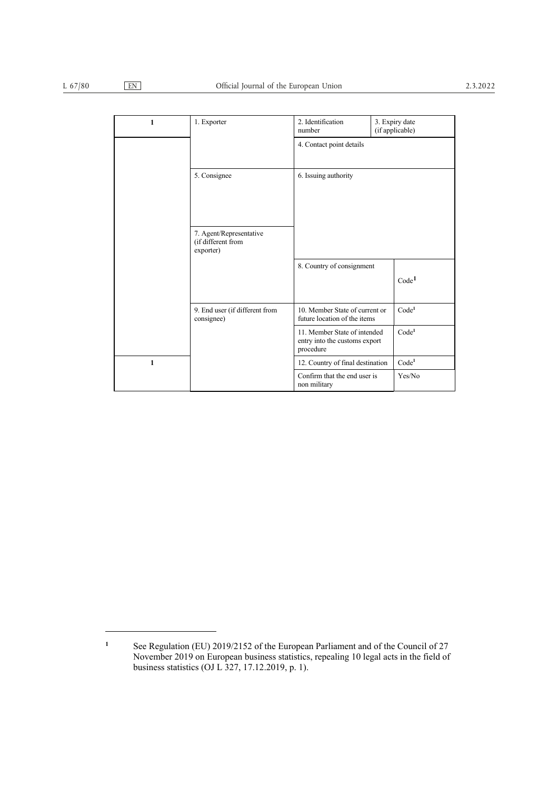| 1 | 1. Exporter                                                | 2. Identification<br>number                                                | 3. Expiry date<br>(if applicable) |                   |
|---|------------------------------------------------------------|----------------------------------------------------------------------------|-----------------------------------|-------------------|
|   |                                                            | 4. Contact point details                                                   |                                   |                   |
|   | 5. Consignee                                               | 6. Issuing authority                                                       |                                   |                   |
|   | 7. Agent/Representative<br>(if different from<br>exporter) |                                                                            |                                   |                   |
|   |                                                            | 8. Country of consignment                                                  |                                   | Code <sup>1</sup> |
|   | 9. End user (if different from<br>consignee)               | 10. Member State of current or<br>future location of the items             |                                   | Code <sup>1</sup> |
|   |                                                            | 11. Member State of intended<br>entry into the customs export<br>procedure |                                   | Code <sup>1</sup> |
| 1 |                                                            | 12. Country of final destination                                           |                                   | Code <sup>1</sup> |
|   |                                                            | Confirm that the end user is<br>non military                               |                                   | Yes/No            |

**<sup>1</sup>** See Regulation (EU) 2019/2152 of the European Parliament and of the Council of 27 November 2019 on European business statistics, repealing 10 legal acts in the field of business statistics (OJ L 327, 17.12.2019, p. 1).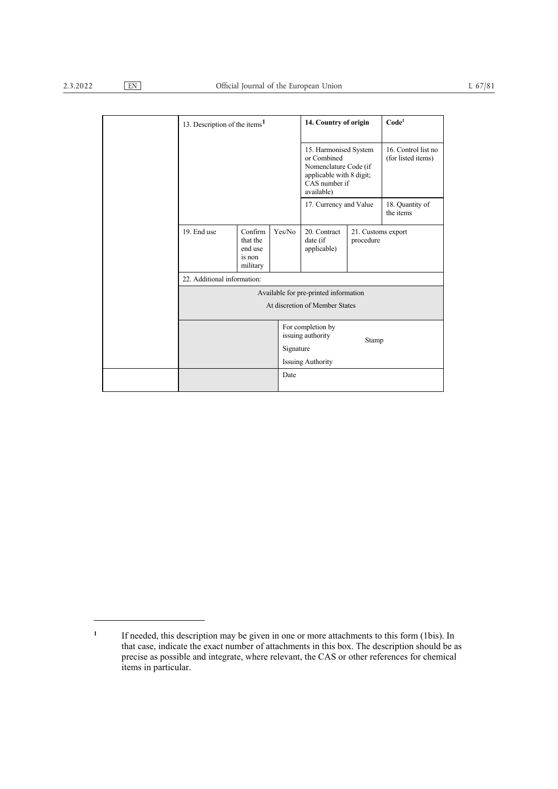|  | 13. Description of the items <sup>1</sup>                               |                                                      | 14. Country of origin                                                                                                    |                                         | Code <sup>1</sup>                         |                              |
|--|-------------------------------------------------------------------------|------------------------------------------------------|--------------------------------------------------------------------------------------------------------------------------|-----------------------------------------|-------------------------------------------|------------------------------|
|  |                                                                         |                                                      | 15. Harmonised System<br>or Combined<br>Nomenclature Code (if<br>applicable with 8 digit;<br>CAS number if<br>available) |                                         | 16. Control list no<br>(for listed items) |                              |
|  |                                                                         |                                                      |                                                                                                                          | 17. Currency and Value                  |                                           | 18. Quantity of<br>the items |
|  | 19. End use                                                             | Confirm<br>that the<br>end use<br>is non<br>military | Yes/No                                                                                                                   | 20. Contract<br>date (if<br>applicable) | 21. Customs export<br>procedure           |                              |
|  | 22. Additional information:                                             |                                                      |                                                                                                                          |                                         |                                           |                              |
|  | Available for pre-printed information<br>At discretion of Member States |                                                      |                                                                                                                          |                                         |                                           |                              |
|  |                                                                         |                                                      |                                                                                                                          |                                         |                                           |                              |
|  |                                                                         |                                                      |                                                                                                                          | For completion by<br>issuing authority  | Stamp                                     |                              |
|  |                                                                         |                                                      | Signature                                                                                                                | <b>Issuing Authority</b>                |                                           |                              |
|  |                                                                         |                                                      | Date                                                                                                                     |                                         |                                           |                              |
|  |                                                                         |                                                      |                                                                                                                          |                                         |                                           |                              |

<sup>&</sup>lt;sup>1</sup> If needed, this description may be given in one or more attachments to this form (1bis). In that case, indicate the exact number of attachments in this box. The description should be as precise as possible and integrate, where relevant, the CAS or other references for chemical items in particular.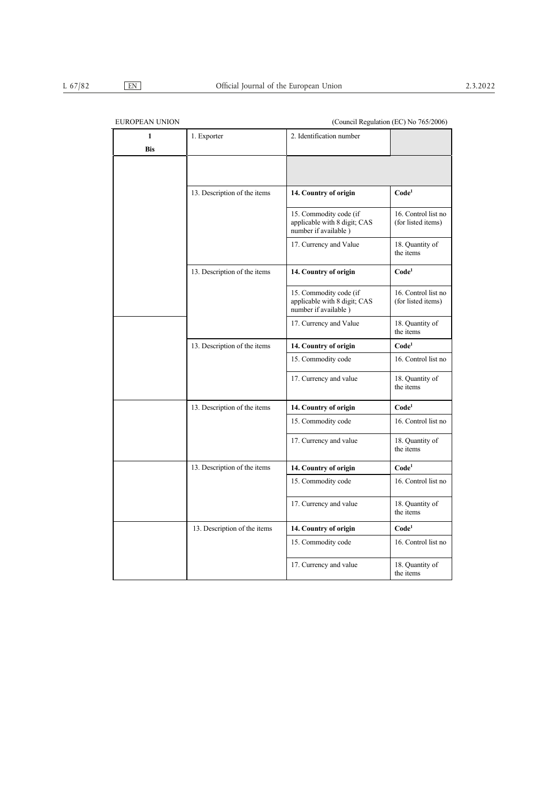| <b>EUROPEAN UNION</b> |                              | (Council Regulation (EC) No 765/2006)                                          |                                           |  |
|-----------------------|------------------------------|--------------------------------------------------------------------------------|-------------------------------------------|--|
| 1<br>Bis              | 1. Exporter                  | 2. Identification number                                                       |                                           |  |
|                       |                              |                                                                                |                                           |  |
|                       | 13. Description of the items | 14. Country of origin                                                          | Code <sup>1</sup>                         |  |
|                       |                              | 15. Commodity code (if<br>applicable with 8 digit; CAS<br>number if available) | 16. Control list no<br>(for listed items) |  |
|                       |                              | 17. Currency and Value                                                         | 18. Quantity of<br>the items              |  |
|                       | 13. Description of the items | 14. Country of origin                                                          | Code <sup>1</sup>                         |  |
|                       |                              | 15. Commodity code (if<br>applicable with 8 digit; CAS<br>number if available) | 16. Control list no<br>(for listed items) |  |
|                       |                              | 17. Currency and Value                                                         | 18. Quantity of<br>the items              |  |
|                       | 13. Description of the items | 14. Country of origin                                                          | $\mathbf{Code}^1$                         |  |
|                       |                              | 15. Commodity code                                                             | 16. Control list no                       |  |
|                       |                              | 17. Currency and value                                                         | 18. Quantity of<br>the items              |  |
|                       | 13. Description of the items | 14. Country of origin                                                          | Code <sup>1</sup>                         |  |
|                       |                              | 15. Commodity code                                                             | 16. Control list no                       |  |
|                       |                              | 17. Currency and value                                                         | 18. Quantity of<br>the items              |  |
|                       | 13. Description of the items | 14. Country of origin                                                          | Code <sup>1</sup>                         |  |
|                       |                              | 15. Commodity code                                                             | 16. Control list no                       |  |
|                       |                              | 17. Currency and value                                                         | 18. Quantity of<br>the items              |  |
|                       | 13. Description of the items | 14. Country of origin                                                          | Code <sup>1</sup>                         |  |
|                       |                              | 15. Commodity code                                                             | 16. Control list no                       |  |
|                       |                              | 17. Currency and value                                                         | 18. Quantity of<br>the items              |  |